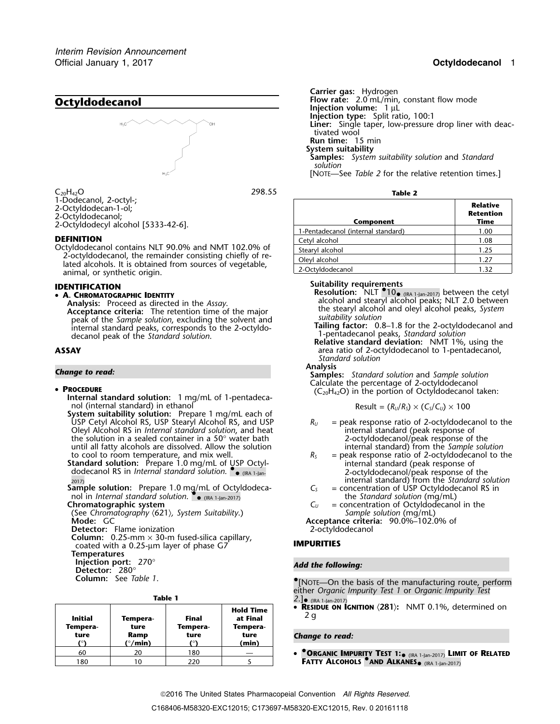

 $C_{20}H_{42}O$  **Table 2 Table 2 Table 2 Table 2 Table 2 Table 2 Table 2 Table 2 Table 2 Table 2 Table 2 Table 2 Table 2 Table 2 Table 2 Table 2 Table 2 Table 2 Table 2 Table 2 Table** 

Octyldodecanol contains NLT 90.0% and NMT 102.0% of<br>2-octyldodecanol, the remainder consisting chiefly of re-<br>lated alcohols. It is obtained from sources of vegetable,<br>animal, or synthetic origin.

**A. CHROMATOGRAPHIC IDENTITY**

**Acceptance criteria:** The retention time of the major the stearyl alcohol peak of the *Sample solution*, excluding the solvent and **suitability solution** Fraction of the Sumple Solution, excluding the Solvent and<br>internal standard peaks, corresponds to the 2-octyldo-<br>decanol peak of the Standard solution.<br>**ASSAY**<br>ASSAY<br>ARSAY<br>ARSAY<br>ARSAY<br>ARSAY

## • PROCEDURE

**PROCEDURE**<br> **ProceDure** (C<sub>20</sub>H<sub>42</sub>O) in the portion of Octyldodecanol taken:<br>
nol (internal standard) in ethanol **procedure** (R<sub>u</sub>/R<sub>s</sub>) × (C<sub>s</sub>/C<sub>u</sub>) × 100 nol (internal standard) in ethanol Result =  $(R_U/R_S) \times (C_S/C_U) \times 100$ 

**System suitability solution:** Prepare 1 mg/mL each of USP Cetyl Alcohol RS, USP Stearyl Alcohol RS, and USP *R<sup>U</sup>* = peak response ratio of 2-octyldodecanol to the Oleyl Alcohol RS in *Internal standard solution*, and heat internal standard (peak response of the solution in a sealed container in a 50° water bath internal standard (peak response of the the solution in a sealed container in a 50° water bath 2-octyldodecanol/peak response of the<br>
until all fatty alcohols are dissolved. Allow the solution and internal standard) from the Sample solution until all fatty alcohols are dissolved. Allow the solution to cool to room temperature, and mix well.  $R_s$ 

**Standard solution:** Prepare 1.0 mg/mL of USP Octyl-<br>internal standard solution. •. <sub>IRA 1-lan</sub> in the control open all peak response of and a control of the control<br>2-octyldodecanol/peak response of and solution. •. **and** 

**Sample solution:** Prepare 1.0 mg/mL of Octyldodecanol in *Internal standard solution*. •. •

(See Chromatography  $\langle 621 \rangle$ , System Suitability.) **Mode:** GC

**Detector:** Flame ionization

**Column:** 0.25-mm × 30-m fused-silica capillary, coated with a 0.25-µm layer of phase G7 **IMPURITIES**

**Temperatures**

**Injection port:** 270° *Add the following:* **Detector:** 280°

**Column:** See *Table 1*. •

| I |  |
|---|--|
|---|--|

| Table 1 |                     |                         |                   |                                          | $2.]$ • (IRA 1-Jan-2017)                                            |
|---------|---------------------|-------------------------|-------------------|------------------------------------------|---------------------------------------------------------------------|
|         | Initial<br>Tempera- | Tempera-<br>ture        | Final<br>Tempera- | <b>Hold Time</b><br>at Final<br>Tempera- | • RESIDUE ON IGNITION (281): NMT 0.1%, determined on<br>2q          |
|         | ture                | Ramp                    | ture              | ture                                     | <b>Change to read:</b>                                              |
|         |                     | $(^{\circ}/\text{min})$ |                   | (min)                                    |                                                                     |
|         | 60                  | 20                      | 180               |                                          | • <b>ORGANIC IMPURITY TEST 1:</b> (IRA 1-Jan-2017) LIMIT OF RELATE! |
|         | 180                 | $10^{-7}$               | 220               |                                          | FATTY ALCOHOLS <sup>O</sup> AND ALKANES <sup>(IRA 1-Jan-2017)</sup> |

**Carrier gas:** Hydrogen **Injection volume:** 1 µL **Injection type:** Split ratio, 100:1 **Liner:** Single taper, low-pressure drop liner with deactivated wool **Run time:** 15 min **System suitability Samples:** *System suitability solution* and *Standard*

*solution* [NOTE—See *Table 2* for the relative retention times.]

| 1-Dodecanol, 2-octyl-;<br>2-Octyldodecan-1-ol;<br>2-Octyldodecanol;<br>2-Octyldodecyl alcohol [5333-42-6].                            | <b>Relative</b><br>Retention<br>Time<br>Component |      |
|---------------------------------------------------------------------------------------------------------------------------------------|---------------------------------------------------|------|
|                                                                                                                                       | 1-Pentadecanol (internal standard)                | 1.00 |
| <b>DEFINITION</b><br>Octyldodecanol contains NLT 90.0% and NMT 102.0% of<br>2-octyldodecanol, the remainder consisting chiefly of re- | Cetyl alcohol                                     | 1.08 |
|                                                                                                                                       | Stearyl alcohol                                   | 1.25 |
|                                                                                                                                       | Olevl alcohol                                     | 1.27 |
| lated alcohols. It is obtained from sources of vegetable,<br>المنعنعم مندمطهمان ومراجعه                                               | 2-Octvldodecanol                                  |      |

**Suitability requirements IDENTIFICATION Resolution:** NLT •.10• (IRA 1-Jan-2017) between the cetyl •**ANALYSIS ISLAM CONSTRIPTED IN ANALYSIS IS A REPORT OF A SECOND AND READ TO A READ FORM ANALYSIS:** Proceed as directed in the *Assay*.<br> **Analysis:** Proceed as directed in the *Assay*.<br>
Acceptance criteria: The retention ti

area ratio of 2-octyldodecanol to 1-pentadecanol, *Standard solution*

**Analysis** *Change to read:* **Samples:** *Standard solution* and *Sample solution* Calculate the percentage of 2-octyldodecanol

$$
Result = (R_U/R_S) \times (C_S/C_U) \times 100
$$

- 
- = peak response ratio of 2-octyldodecanol to the internal standard (peak response of 2-octyldodecanol/peak response of the internal standard) from the *Standard solution*<br> $C_5$  = concentration of USP Octyldodecanol RS in
- the *Standard solution* (mg/mL)<br>C<sub>II</sub> = concentration of Octyldodecano
- **Chromatographic system**<br>
(See Chromatography  $\langle 621 \rangle$ , System Suitability.)<br> *C<sub>U</sub>* = concentration of Octyldodecanol in the<br>
Sample solution (mg/mL)
	- **Mode:** GC **Acceptance criteria:** 90.0%–102.0% of

.[NOTE—On the basis of the manufacturing route, perform either *Organic Impurity Test 1* or *Organic Impurity Test*

# *<u>Change to read:*</u>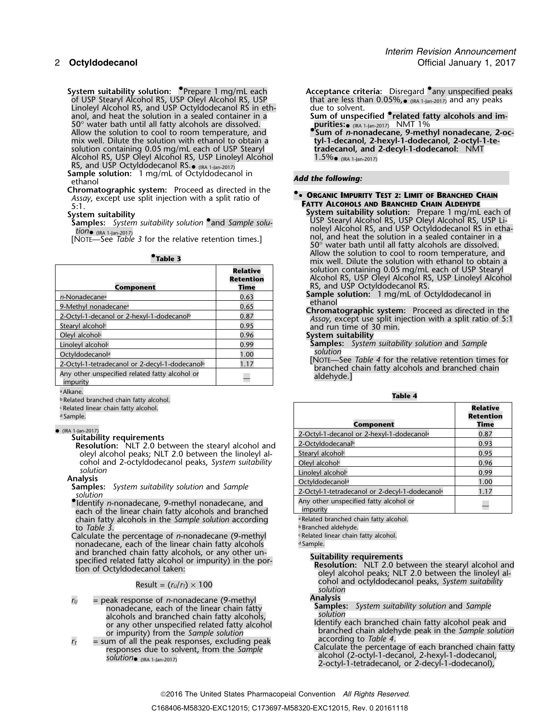System suitability solution: <sup>O</sup>Prepare 1 mg/mL each and Comptance criter of USP Stearyl Alcohol RS, USP that are less than 0.05 that are less than 0.05 that are less than 0.05 that are less than 0.05 that are less than 0. Linoleyl Alcohol RS, and USP Octyldodecanol RS in eth-<br>anol, and heat the solution in a sealed container in a anol, and heat the solution in a sealed container in a **Sum of unspecified •.related fatty alcohols and im-**50° water bath until all fatty alcohols are dissolved.<br>Allow the solution to cool to room temperature, and (IRA 1-Jan-2017) NMT 1% Allow the solution to cool to room temperature, and **•.Sum of** *n***-nonadecane, 9-methyl nonadecane, 2-oc**mix well. Dilute the solution with ethanol to obtain a **tyl-1-decanol, 2-hexyl-1-dodecanol, 2-octyl-1-te-**<br>solution containing 0.05 mg/mL each of USP Stearyl **tradecanol, and 2-decyl-1-dodecanol:** NMT solution containing 0.05 mg/mL each of USP Stearyl Alcohol RS, USP Oleyl Alcohol RS, USP Linoleyl Alcohol

RS, and USP Octyldodecanol RS.<sub>• (IRA 1-Jan-2017)<br>**Sample solution:** 1 mg/mL of Octyldodecanol in **Add the following:**<br>ethanol</sub>

**Chromatographic system:** Proceed as directed in the **•• ORGANIC IMPURITY TEST 2: LIMIT OF BRANCHED CHAIN** *Assay*, except use split injection with a split ratio of

| Component                                                  | <b>Relative</b><br>Retention<br>Time | solution cor<br>Alcohol RS,<br>RS, and US<br>Sample solu |
|------------------------------------------------------------|--------------------------------------|----------------------------------------------------------|
| n-Nonadecane <sup>a</sup>                                  | 0.63                                 | ethanol                                                  |
| 9-Methyl nonadecane <sup>a</sup>                           | 0.65                                 | Chromatogr                                               |
| 2-Octyl-1-decanol or 2-hexyl-1-dodecanol <sup>b</sup>      | 0.87                                 | Assay, exce                                              |
| Stearyl alcohol <sup>c</sup>                               | 0.95                                 | and run tim                                              |
| Oleyl alcohol <sup>c</sup>                                 | 0.96                                 | System suita                                             |
| Linoleyl alcohol <sup>c</sup>                              | 0.99                                 | Samples:                                                 |
| Octvldodecanol <sup>d</sup>                                | 1.00                                 | solution                                                 |
| 2-Octyl-1-tetradecanol or 2-decyl-1-dodecanol <sup>b</sup> | 1.17                                 | [NOTE-See<br>branched                                    |
| Any other unspecified related fatty alcohol or<br>impurity |                                      | aldehyde.]                                               |

<sup>a</sup> Alkane.

<sup>b</sup> **Table 4** .Related branched chain fatty alcohol.

• (IRA 1-Jan-2017)

# **Analysis**<br>**Samples:** *System suitability solution* and *Sample*<br>*solution*

• Identify *n*-nonadecane, 9-methyl nonadecane, and  $\blacksquare$  Any other unspecified fatty alcohol or each of the linear chain fatty alcohols and branched<br>chain fatty alcohols in the *Sample solution* according each exercise branched chain fatty alcohol. chain fatty alcohols in the *Sample solution* according to *Table 3*.

Calculate the percentage of *n*-nonadecane (9-methyl **Related linear chain fatty alcohol.**<br>Related linear chain fatty alcohols **relations** of the linear chain fatty alcohols nonadecane, each of the linear chain fatty alcohols<br>and branched chain fatty alcohols, or any other unand branched chain ratty alcohols, or any other un-<br>specified related fatty alcohol or impurity) in the por-<br>tion of Octyldodecanol taken:<br>leyl alcohol peaks; NLT 2.0 between the linoleyl al-

- *r*<sub>*U*</sub> = peak response of *n*-nonadecane (9-methyl **Analysis**<br>**Analysis Analysis System suitability solution and Sample nonadecane** each of the linear chain fatty alcohols and branched chain fatty alcohols, *solution*
- $r_1$  = sum of all the peak responses, excluding peak responses due to solvent, from the *Sample*<br>solution (RA 1-Jan-2017)<br>solution (RA 1-Jan-2017)<br>solution (RA 1-Jan-2017)
- **System suitability solution: <sup>●</sup>Prepare 1 mg/mL each <b>Acceptance criteria:** Disregard •any unspecified peaks  $\bullet$  (IRA 1-Jan-2017) and any peaks
	-
	- 1.5% (IRA 1-Jan-2017)

- FATTY ALCOHOLS AND BRANCHED CHAIN ALDEHYDE<br>System suitability<br>System suitability<br>System suitability<br>System suitability<br>System suitability<br>System suitability solution: Prepare 1 mg/mL each of<br>USP Stearyl Alcohol RS, USP Ole oleyi Alcohol is, and use uclyluouecallor is in each of the relative retention times.]<br>Inol, and heat the solution in a sealed container in a [NOTE—See *Table 3* for the relative retention times.]<br>50° water bath until all •**Table 3**<br>• **Table 3** • **COOL** Table 3 • **COOL** Table 3 • **COOL** Table 3 mix well. Dilute the solution with ethanol to obtain a solution containing 0.05 mg/mL each of USP Stearyl Alcohol RS, USP Oleyl Alcohol RS, USP Linoleyl Alcohol **Component Time** RS, and USP Octyldodecanol RS.
	- **Sample solution:** 1 mg/mL of Octyldodecanol in ethanol

Chromatographic system: Proceed as directed in the Assay, except use split injection with a split ratio of 5:1 and run time of 30 min.

## **System suitability**

- **Samples:** *System suitability solution* and *Sample solution*
- [NOTE—See Table 4 for the relative retention times for<br>branched chain fatty alcohols and branched chain<br>aldehyde.]

| ERelated linear chain fatty alcohol.<br><sup>d</sup> Sample.                                                     | Component                                                  | <b>Relative</b><br><b>Retention</b><br>Time |
|------------------------------------------------------------------------------------------------------------------|------------------------------------------------------------|---------------------------------------------|
| (IRA 1-Jan-2017)<br>Suitability requirements                                                                     | 2-Octyl-1-decanol or 2-hexyl-1-dodecanol <sup>a</sup>      | 0.87                                        |
| <b>Resolution:</b> NLT 2.0 between the stearyl alcohol and                                                       | 2-Octvldodecanal <sup>b</sup>                              | 0.93                                        |
| oleyl alcohol peaks; NLT 2.0 between the linoleyl al-                                                            | Stearyl alcohol <sup>c</sup>                               | 0.95                                        |
| cohol and 2-octyldodecanol peaks, System suitability                                                             | Olevl alcohol <sup>c</sup>                                 | 0.96                                        |
| solution                                                                                                         | Linolevl alcohol <sup>c</sup>                              | 0.99                                        |
|                                                                                                                  | Octyldodecanol <sup>d</sup>                                | 1.00                                        |
|                                                                                                                  | 2-Octyl-1-tetradecanol or 2-decyl-1-dodecanol <sup>a</sup> | 1.17                                        |
| "Identify <i>n</i> -nonadecane, 9-methyl nonadecane, and<br>each of the linear chain fatty alcohols and branched | Any other unspecified fatty alcohol or<br>impurity         |                                             |
| <b>Analysis</b><br><b>Samples:</b> System suitability solution and Sample<br>solution                            |                                                            |                                             |

**Branched aldehyde.** 

cohol and octyldodecanol peaks, *System suitability* Result = (*<sup>r</sup>U*/*<sup>r</sup>T*) ×<sup>100</sup> *solution*

nonadecane, each of the linear chain fatty **Samples:** *System suitability solution* and *Sample*

or any other unspecified related fatty alcohol,<br>or any other unspecified related fatty alcohol in Identify each branched chain aldehyde peak in the Sample solution or any other dispectived related ratty according<br>or impurity) from the *Sample solution*<br>according to *Table 4*.

2-octyl-1-tetradecanol, or 2-decyl-1-dodecanol),